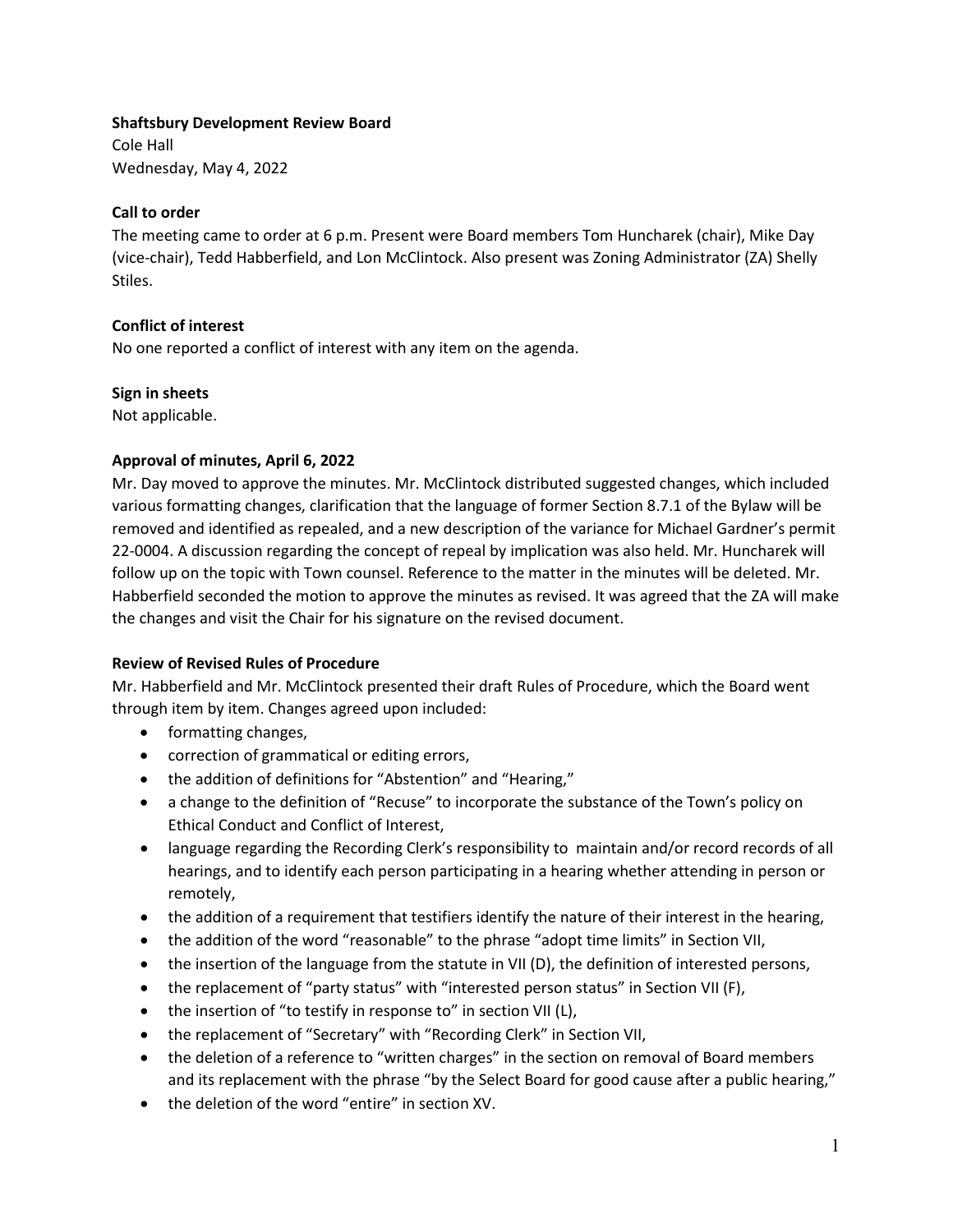### **Shaftsbury Development Review Board**

Cole Hall Wednesday, May 4, 2022

# **Call to order**

The meeting came to order at 6 p.m. Present were Board members Tom Huncharek (chair), Mike Day (vice-chair), Tedd Habberfield, and Lon McClintock. Also present was Zoning Administrator (ZA) Shelly Stiles.

# **Conflict of interest**

No one reported a conflict of interest with any item on the agenda.

#### **Sign in sheets**

Not applicable.

### **Approval of minutes, April 6, 2022**

Mr. Day moved to approve the minutes. Mr. McClintock distributed suggested changes, which included various formatting changes, clarification that the language of former Section 8.7.1 of the Bylaw will be removed and identified as repealed, and a new description of the variance for Michael Gardner's permit 22-0004. A discussion regarding the concept of repeal by implication was also held. Mr. Huncharek will follow up on the topic with Town counsel. Reference to the matter in the minutes will be deleted. Mr. Habberfield seconded the motion to approve the minutes as revised. It was agreed that the ZA will make the changes and visit the Chair for his signature on the revised document.

#### **Review of Revised Rules of Procedure**

Mr. Habberfield and Mr. McClintock presented their draft Rules of Procedure, which the Board went through item by item. Changes agreed upon included:

- formatting changes,
- correction of grammatical or editing errors,
- the addition of definitions for "Abstention" and "Hearing,"
- a change to the definition of "Recuse" to incorporate the substance of the Town's policy on Ethical Conduct and Conflict of Interest,
- language regarding the Recording Clerk's responsibility to maintain and/or record records of all hearings, and to identify each person participating in a hearing whether attending in person or remotely,
- the addition of a requirement that testifiers identify the nature of their interest in the hearing,
- the addition of the word "reasonable" to the phrase "adopt time limits" in Section VII,
- the insertion of the language from the statute in VII (D), the definition of interested persons,
- the replacement of "party status" with "interested person status" in Section VII (F),
- the insertion of "to testify in response to" in section VII (L),
- the replacement of "Secretary" with "Recording Clerk" in Section VII,
- the deletion of a reference to "written charges" in the section on removal of Board members and its replacement with the phrase "by the Select Board for good cause after a public hearing,"
- the deletion of the word "entire" in section XV.